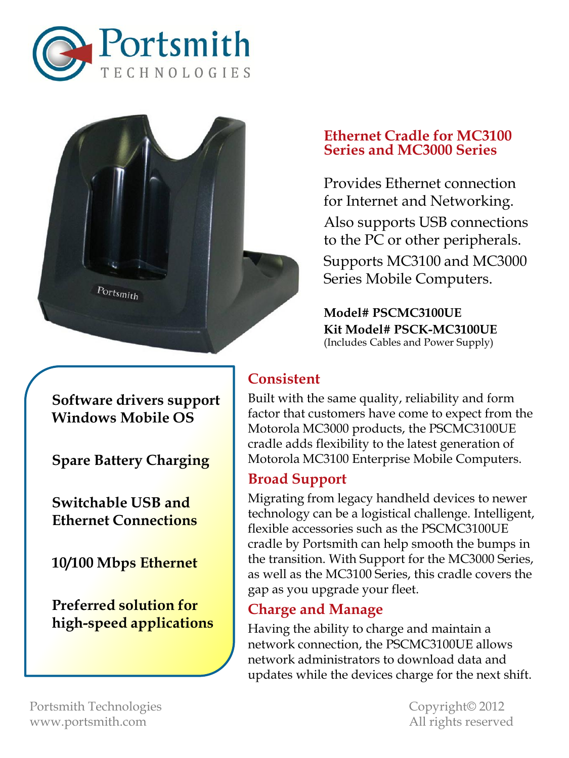



**Software drivers support** 

**Windows Mobile OS**

**Spare Battery Charging**

**Switchable USB and Ethernet Connections**

**10/100 Mbps Ethernet**

**Preferred solution for high-speed applications**

## **Ethernet Cradle for MC3100 Series and MC3000 Series**

Provides Ethernet connection for Internet and Networking. Also supports USB connections to the PC or other peripherals. Supports MC3100 and MC3000 Series Mobile Computers.

**Model# PSCMC3100UE Kit Model# PSCK-MC3100UE** (Includes Cables and Power Supply)

# **Consistent**

Built with the same quality, reliability and form factor that customers have come to expect from the Motorola MC3000 products, the PSCMC3100UE cradle adds flexibility to the latest generation of Motorola MC3100 Enterprise Mobile Computers.

# **Broad Support**

Migrating from legacy handheld devices to newer technology can be a logistical challenge. Intelligent, flexible accessories such as the PSCMC3100UE cradle by Portsmith can help smooth the bumps in the transition. With Support for the MC3000 Series, as well as the MC3100 Series, this cradle covers the gap as you upgrade your fleet.

# **Charge and Manage**

Having the ability to charge and maintain a network connection, the PSCMC3100UE allows network administrators to download data and updates while the devices charge for the next shift.

Portsmith Technologies Copyright© 2012 www.portsmith.com and a series of the second and the All rights reserved